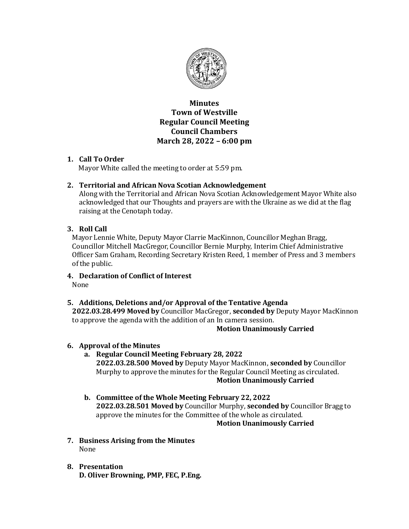

**Minutes Town of Westville Regular Council Meeting Council Chambers March 28, 2022 – 6:00 pm**

# **1. Call To Order**

Mayor White called the meeting to order at 5:59 pm.

# **2. Territorial and African Nova Scotian Acknowledgement**

Along with the Territorial and African Nova Scotian Acknowledgement Mayor White also acknowledged that our Thoughts and prayers are with the Ukraine as we did at the flag raising at the Cenotaph today.

# **3. Roll Call**

Mayor Lennie White, Deputy Mayor Clarrie MacKinnon, Councillor Meghan Bragg, Councillor Mitchell MacGregor, Councillor Bernie Murphy, Interim Chief Administrative Officer Sam Graham, Recording Secretary Kristen Reed, 1 member of Press and 3 members of the public.

**4. Declaration of Conflict of Interest** 

None

# **5. Additions, Deletions and/or Approval of the Tentative Agenda**

**2022.03.28.499 Moved by** Councillor MacGregor, **seconded by** Deputy Mayor MacKinnon to approve the agenda with the addition of an In camera session.

## **Motion Unanimously Carried**

## **6. Approval of the Minutes**

- **a. Regular Council Meeting February 28, 2022 2022.03.28.500 Moved by** Deputy Mayor MacKinnon, **seconded by** Councillor Murphy to approve the minutes for the Regular Council Meeting as circulated. **Motion Unanimously Carried**
- **b. Committee of the Whole Meeting February 22, 2022 2022.03.28.501 Moved by** Councillor Murphy, **seconded by** Councillor Bragg to approve the minutes for the Committee of the whole as circulated. **Motion Unanimously Carried**
- **7. Business Arising from the Minutes** None
- **8. Presentation D. Oliver Browning, PMP, FEC, P.Eng.**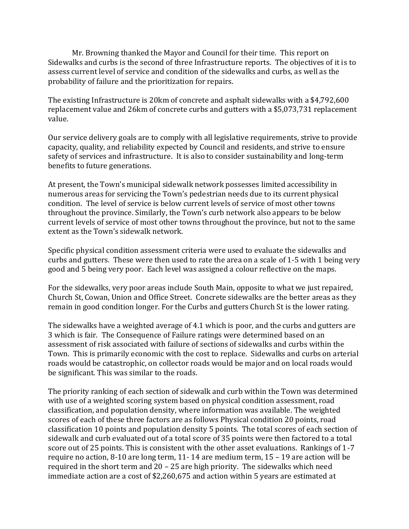Mr. Browning thanked the Mayor and Council for their time. This report on Sidewalks and curbs is the second of three Infrastructure reports. The objectives of it is to assess current level of service and condition of the sidewalks and curbs, as well as the probability of failure and the prioritization for repairs.

The existing Infrastructure is 20km of concrete and asphalt sidewalks with a \$4,792,600 replacement value and 26km of concrete curbs and gutters with a \$5,073,731 replacement value.

Our service delivery goals are to comply with all legislative requirements, strive to provide capacity, quality, and reliability expected by Council and residents, and strive to ensure safety of services and infrastructure. It is also to consider sustainability and long-term benefits to future generations.

At present, the Town's municipal sidewalk network possesses limited accessibility in numerous areas for servicing the Town's pedestrian needs due to its current physical condition. The level of service is below current levels of service of most other towns throughout the province. Similarly, the Town's curb network also appears to be below current levels of service of most other towns throughout the province, but not to the same extent as the Town's sidewalk network.

Specific physical condition assessment criteria were used to evaluate the sidewalks and curbs and gutters. These were then used to rate the area on a scale of 1-5 with 1 being very good and 5 being very poor. Each level was assigned a colour reflective on the maps.

For the sidewalks, very poor areas include South Main, opposite to what we just repaired, Church St, Cowan, Union and Office Street. Concrete sidewalks are the better areas as they remain in good condition longer. For the Curbs and gutters Church St is the lower rating.

The sidewalks have a weighted average of 4.1 which is poor, and the curbs and gutters are 3 which is fair. The Consequence of Failure ratings were determined based on an assessment of risk associated with failure of sections of sidewalks and curbs within the Town. This is primarily economic with the cost to replace. Sidewalks and curbs on arterial roads would be catastrophic, on collector roads would be major and on local roads would be significant. This was similar to the roads.

The priority ranking of each section of sidewalk and curb within the Town was determined with use of a weighted scoring system based on physical condition assessment, road classification, and population density, where information was available. The weighted scores of each of these three factors are as follows Physical condition 20 points, road classification 10 points and population density 5 points. The total scores of each section of sidewalk and curb evaluated out of a total score of 35 points were then factored to a total score out of 25 points. This is consistent with the other asset evaluations. Rankings of 1-7 require no action, 8-10 are long term, 11- 14 are medium term, 15 – 19 are action will be required in the short term and 20 – 25 are high priority. The sidewalks which need immediate action are a cost of \$2,260,675 and action within 5 years are estimated at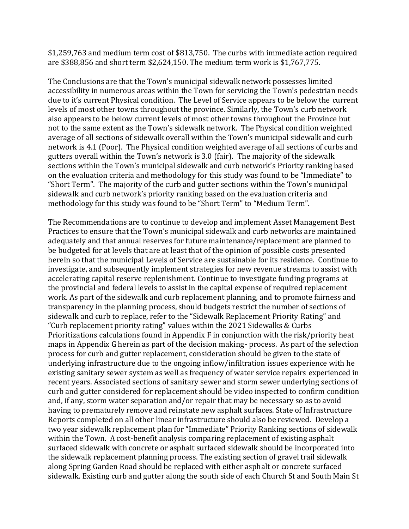\$1,259,763 and medium term cost of \$813,750. The curbs with immediate action required are \$388,856 and short term \$2,624,150. The medium term work is \$1,767,775.

The Conclusions are that the Town's municipal sidewalk network possesses limited accessibility in numerous areas within the Town for servicing the Town's pedestrian needs due to it's current Physical condition. The Level of Service appears to be below the current levels of most other towns throughout the province. Similarly, the Town's curb network also appears to be below current levels of most other towns throughout the Province but not to the same extent as the Town's sidewalk network. The Physical condition weighted average of all sections of sidewalk overall within the Town's municipal sidewalk and curb network is 4.1 (Poor). The Physical condition weighted average of all sections of curbs and gutters overall within the Town's network is 3.0 (fair). The majority of the sidewalk sections within the Town's municipal sidewalk and curb network's Priority ranking based on the evaluation criteria and methodology for this study was found to be "Immediate" to "Short Term". The majority of the curb and gutter sections within the Town's municipal sidewalk and curb network's priority ranking based on the evaluation criteria and methodology for this study was found to be "Short Term" to "Medium Term".

The Recommendations are to continue to develop and implement Asset Management Best Practices to ensure that the Town's municipal sidewalk and curb networks are maintained adequately and that annual reserves for future maintenance/replacement are planned to be budgeted for at levels that are at least that of the opinion of possible costs presented herein so that the municipal Levels of Service are sustainable for its residence. Continue to investigate, and subsequently implement strategies for new revenue streams to assist with accelerating capital reserve replenishment. Continue to investigate funding programs at the provincial and federal levels to assist in the capital expense of required replacement work. As part of the sidewalk and curb replacement planning, and to promote fairness and transparency in the planning process, should budgets restrict the number of sections of sidewalk and curb to replace, refer to the "Sidewalk Replacement Priority Rating" and "Curb replacement priority rating" values within the 2021 Sidewalks & Curbs Prioritizations calculations found in Appendix F in conjunction with the risk/priority heat maps in Appendix G herein as part of the decision making- process. As part of the selection process for curb and gutter replacement, consideration should be given to the state of underlying infrastructure due to the ongoing inflow/infiltration issues experience with he existing sanitary sewer system as well as frequency of water service repairs experienced in recent years. Associated sections of sanitary sewer and storm sewer underlying sections of curb and gutter considered for replacement should be video inspected to confirm condition and, if any, storm water separation and/or repair that may be necessary so as to avoid having to prematurely remove and reinstate new asphalt surfaces. State of Infrastructure Reports completed on all other linear infrastructure should also be reviewed. Develop a two year sidewalk replacement plan for "Immediate" Priority Ranking sections of sidewalk within the Town. A cost-benefit analysis comparing replacement of existing asphalt surfaced sidewalk with concrete or asphalt surfaced sidewalk should be incorporated into the sidewalk replacement planning process. The existing section of gravel trail sidewalk along Spring Garden Road should be replaced with either asphalt or concrete surfaced sidewalk. Existing curb and gutter along the south side of each Church St and South Main St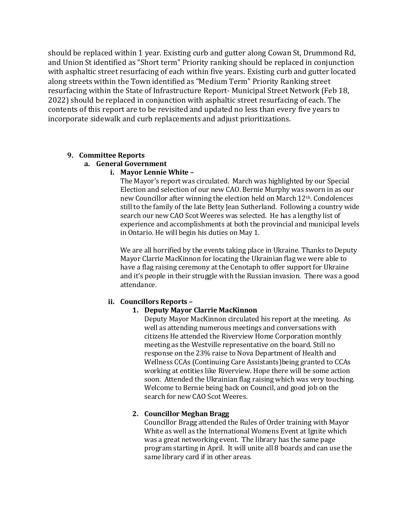should be replaced within 1 year. Existing curb and gutter along Cowan St, Drummond Rd, and Union St identified as "Short term" Priority ranking should be replaced in conjunction with asphaltic street resurfacing of each within five years. Existing curb and gutter located along streets within the Town identified as "Medium Term" Priority Ranking street resurfacing within the State of Infrastructure Report- Municipal Street Network (Feb 18, 2022) should be replaced in conjunction with asphaltic street resurfacing of each. The contents of this report are to be revisited and updated no less than every five years to incorporate sidewalk and curb replacements and adjust prioritizations.

## **9. Committee Reports**

## **a. General Government**

### **i. Mayor Lennie White –**

The Mayor's report was circulated. March was highlighted by our Special Election and selection of our new CAO. Bernie Murphy was sworn in as our new Councillor after winning the election held on March 12<sup>th</sup>. Condolences still to the family of the late Betty Jean Sutherland. Following a country wide search our new CAO Scot Weeres was selected. He has a lengthy list of experience and accomplishments at both the provincial and municipal levels in Ontario. He will begin his duties on May 1.

We are all horrified by the events taking place in Ukraine. Thanks to Deputy Mayor Clarrie MacKinnon for locating the Ukrainian flag we were able to have a flag raising ceremony at the Cenotaph to offer support for Ukraine and it's people in their struggle with the Russian invasion. There was a good attendance.

## **ii. Councillors Reports –**

## **1. Deputy Mayor Clarrie MacKinnon**

Deputy Mayor MacKinnon circulated his report at the meeting. As well as attending numerous meetings and conversations with citizens He attended the Riverview Home Corporation monthly meeting as the Westville representative on the board. Still no response on the 23% raise to Nova Department of Health and Wellness CCAs (Continuing Care Assistants)being granted to CCAs working at entities like Riverview. Hope there will be some action soon. Attended the Ukrainian flag raising which was very touching. Welcome to Bernie being back on Council, and good job on the search for new CAO Scot Weeres.

## **2. Councillor Meghan Bragg**

Councillor Bragg attended the Rules of Order training with Mayor White as well as the International Womens Event at Ignite which was a great networking event. The library has the same page program starting in April. It will unite all 8 boards and can use the same library card if in other areas.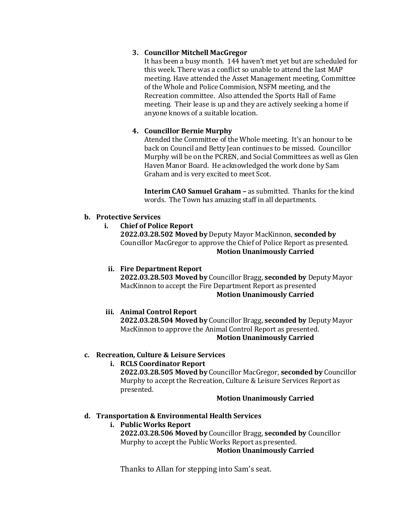## **3. Councillor Mitchell MacGregor**

It has been a busy month. 144 haven't met yet but are scheduled for this week. There was a conflict so unable to attend the last MAP meeting. Have attended the Asset Management meeting, Committee of the Whole and Police Commision, NSFM meeting, and the Recreation committee. Also attended the Sports Hall of Fame meeting. Their lease is up and they are actively seeking a home if anyone knows of a suitable location.

# **4. Councillor Bernie Murphy**

Atended the Committee of the Whole meeting. It's an honour to be back on Council and Betty Jean continues to be missed. Councillor Murphy will be on the PCREN, and Social Committees as well as Glen Haven Manor Board. He acknowledged the work done by Sam Graham and is very excited to meet Scot.

**Interim CAO Samuel Graham –** as submitted. Thanks for the kind words. The Town has amazing staff in all departments.

### **b. Protective Services**

**i. Chief of Police Report**

**2022.03.28.502 Moved by** Deputy Mayor MacKinnon, **seconded by** Councillor MacGregor to approve the Chief of Police Report as presented. **Motion Unanimously Carried**

## **ii. Fire Department Report**

**2022.03.28.503 Moved by** Councillor Bragg, **seconded by** Deputy Mayor MacKinnon to accept the Fire Department Report as presented **Motion Unanimously Carried**

## **iii. Animal Control Report**

**2022.03.28.504 Moved by** Councillor Bragg, **seconded by** Deputy Mayor MacKinnon to approve the Animal Control Report as presented. **Motion Unanimously Carried**

### **c. Recreation, Culture & Leisure Services**

## **i. RCLS Coordinator Report**

**2022.03.28.505 Moved by** Councillor MacGregor, **seconded by** Councillor Murphy to accept the Recreation, Culture & Leisure Services Report as presented.

### **Motion Unanimously Carried**

### **d. Transportation & Environmental Health Services**

**i. Public Works Report 2022.03.28.506 Moved by** Councillor Bragg, **seconded by** Councillor Murphy to accept the Public Works Report as presented. **Motion Unanimously Carried**

Thanks to Allan for stepping into Sam's seat.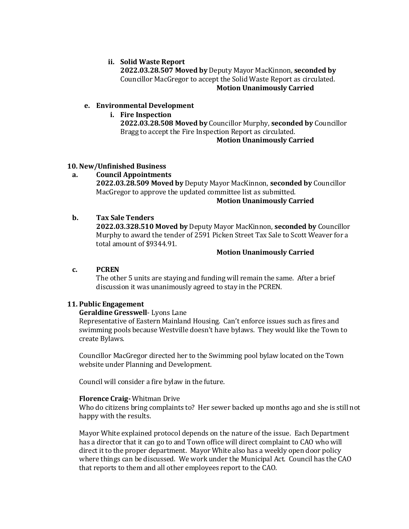### **ii. Solid Waste Report**

**2022.03.28.507 Moved by** Deputy Mayor MacKinnon, **seconded by** Councillor MacGregor to accept the Solid Waste Report as circulated. **Motion Unanimously Carried**

### **e. Environmental Development**

### **i. Fire Inspection**

**2022.03.28.508 Moved by** Councillor Murphy, **seconded by** Councillor Bragg to accept the Fire Inspection Report as circulated.

### **Motion Unanimously Carried**

### **10. New/Unfinished Business**

**a. Council Appointments 2022.03.28.509 Moved by** Deputy Mayor MacKinnon, **seconded by** Councillor MacGregor to approve the updated committee list as submitted.

### **Motion Unanimously Carried**

### **b. Tax Sale Tenders**

**2022.03.328.510 Moved by** Deputy Mayor MacKinnon, **seconded by** Councillor Murphy to award the tender of 2591 Picken Street Tax Sale to Scott Weaver for a total amount of \$9344.91.

### **Motion Unanimously Carried**

#### **c. PCREN**

The other 5 units are staying and funding will remain the same. After a brief discussion it was unanimously agreed to stay in the PCREN.

#### **11. Public Engagement**

#### **Geraldine Gresswell**- Lyons Lane

Representative of Eastern Mainland Housing. Can't enforce issues such as fires and swimming pools because Westville doesn't have bylaws. They would like the Town to create Bylaws.

Councillor MacGregor directed her to the Swimming pool bylaw located on the Town website under Planning and Development.

Council will consider a fire bylaw in the future.

#### **Florence Craig-** Whitman Drive

Who do citizens bring complaints to? Her sewer backed up months ago and she is still not happy with the results.

Mayor White explained protocol depends on the nature of the issue. Each Department has a director that it can go to and Town office will direct complaint to CAO who will direct it to the proper department. Mayor White also has a weekly open door policy where things can be discussed. We work under the Municipal Act. Council has the CAO that reports to them and all other employees report to the CAO.